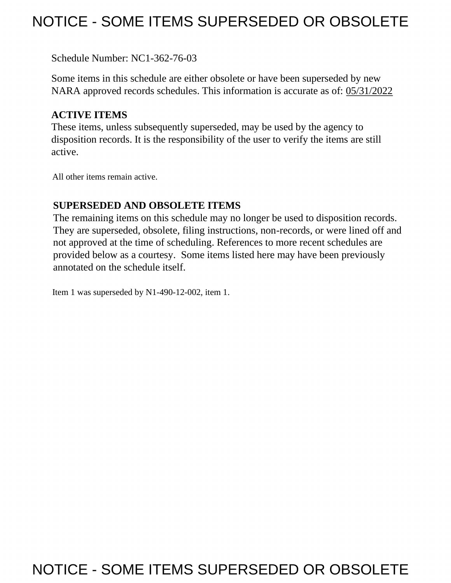# NOTICE - SOME ITEMS SUPERSEDED OR OBSOLETE

Schedule Number: NC1-362-76-03

 Some items in this schedule are either obsolete or have been superseded by new NARA approved records schedules. This information is accurate as of: 05/31/2022

### **ACTIVE ITEMS**

 These items, unless subsequently superseded, may be used by the agency to disposition records. It is the responsibility of the user to verify the items are still active.

All other items remain active.

### **SUPERSEDED AND OBSOLETE ITEMS**

 The remaining items on this schedule may no longer be used to disposition records. not approved at the time of scheduling. References to more recent schedules are provided below as a courtesy. Some items listed here may have been previously They are superseded, obsolete, filing instructions, non-records, or were lined off and annotated on the schedule itself.

Item 1 was superseded by N1-490-12-002, item 1.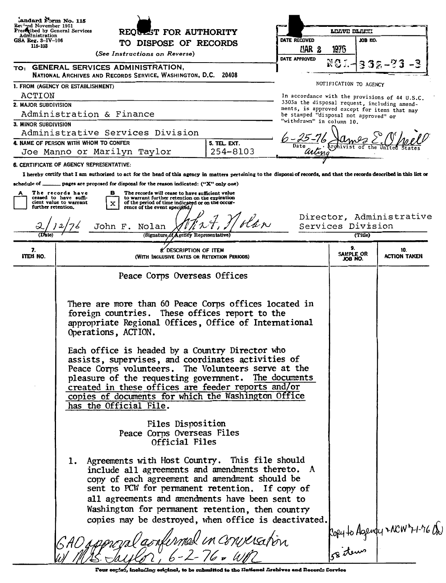| iandard Form No. 115<br>Reviged November 1951    |                                                                                                                                                                                                                                                                                                                                                                                                                                                                                                                                                                                                                                                                                                                                                                                                                                                                                                                                                                                                          |                                       |                            |                                                |
|--------------------------------------------------|----------------------------------------------------------------------------------------------------------------------------------------------------------------------------------------------------------------------------------------------------------------------------------------------------------------------------------------------------------------------------------------------------------------------------------------------------------------------------------------------------------------------------------------------------------------------------------------------------------------------------------------------------------------------------------------------------------------------------------------------------------------------------------------------------------------------------------------------------------------------------------------------------------------------------------------------------------------------------------------------------------|---------------------------------------|----------------------------|------------------------------------------------|
| Preseribed by General Services<br>Administration | REOULST FOR AUTHORITY                                                                                                                                                                                                                                                                                                                                                                                                                                                                                                                                                                                                                                                                                                                                                                                                                                                                                                                                                                                    |                                       | LEAVE BLAFJI               |                                                |
| GSA Reg. $3 - IV - 106$<br>115-103               | TO DISPOSE OF RECORDS<br>(See Instructions on Reverse)                                                                                                                                                                                                                                                                                                                                                                                                                                                                                                                                                                                                                                                                                                                                                                                                                                                                                                                                                   | DATE RECEIVED<br>LIAR <sub>2</sub>    | 1976                       | JOB KO.                                        |
|                                                  | TO: GENERAL SERVICES ADMINISTRATION,<br>NATIONAL ARCHIVES AND RECORDS SERVICE, WASHINGTON, D.C. 20408                                                                                                                                                                                                                                                                                                                                                                                                                                                                                                                                                                                                                                                                                                                                                                                                                                                                                                    | DATE APPROVED                         |                            | 332-                                           |
|                                                  | 1. FROM (AGENCY OR ESTABLISHMENT)                                                                                                                                                                                                                                                                                                                                                                                                                                                                                                                                                                                                                                                                                                                                                                                                                                                                                                                                                                        |                                       | NOTIFICATION TO AGENCY     |                                                |
| ACTION                                           |                                                                                                                                                                                                                                                                                                                                                                                                                                                                                                                                                                                                                                                                                                                                                                                                                                                                                                                                                                                                          |                                       |                            | In accordance with the provisions of 44 U.S.C. |
| 2. MAJOR SUBDIVISION                             |                                                                                                                                                                                                                                                                                                                                                                                                                                                                                                                                                                                                                                                                                                                                                                                                                                                                                                                                                                                                          |                                       |                            | 3303a the disposal request, including amend-   |
|                                                  | Administration & Finance                                                                                                                                                                                                                                                                                                                                                                                                                                                                                                                                                                                                                                                                                                                                                                                                                                                                                                                                                                                 | be stamped "disposal not approved" or |                            | ments, is approved except for items that may   |
| 3. MINOR SUBDIVISION                             |                                                                                                                                                                                                                                                                                                                                                                                                                                                                                                                                                                                                                                                                                                                                                                                                                                                                                                                                                                                                          | "withdrawn" in column 10.             |                            |                                                |
|                                                  | Administrative Services Division                                                                                                                                                                                                                                                                                                                                                                                                                                                                                                                                                                                                                                                                                                                                                                                                                                                                                                                                                                         |                                       |                            |                                                |
|                                                  | 4. NAME OF PERSON WITH WHOM TO CONFER<br>5. TEL. EXT.                                                                                                                                                                                                                                                                                                                                                                                                                                                                                                                                                                                                                                                                                                                                                                                                                                                                                                                                                    |                                       |                            |                                                |
|                                                  | 254-8103<br>Joe Manno or Marilyn Taylor                                                                                                                                                                                                                                                                                                                                                                                                                                                                                                                                                                                                                                                                                                                                                                                                                                                                                                                                                                  | uuma                                  |                            |                                                |
|                                                  | 6. CERTIFICATE OF AGENCY REPRESENTATIVE:                                                                                                                                                                                                                                                                                                                                                                                                                                                                                                                                                                                                                                                                                                                                                                                                                                                                                                                                                                 |                                       |                            |                                                |
|                                                  | I hereby certify that I am authorized to act for the head of this agency in matters pertaining to the disposal of records, and that the records described in this list or                                                                                                                                                                                                                                                                                                                                                                                                                                                                                                                                                                                                                                                                                                                                                                                                                                |                                       |                            |                                                |
|                                                  | schedule of _______ pages are proposed for disposal for the reason indicated: ("X" only one)                                                                                                                                                                                                                                                                                                                                                                                                                                                                                                                                                                                                                                                                                                                                                                                                                                                                                                             |                                       |                            |                                                |
|                                                  | The records have<br>The records will cease to have sufficient value<br>в                                                                                                                                                                                                                                                                                                                                                                                                                                                                                                                                                                                                                                                                                                                                                                                                                                                                                                                                 |                                       |                            |                                                |
| further retention.                               | ceased to have suffi-<br>to warrant further retention on the expiration<br>cient value to warrant<br>of the period of time indicated or on the occur-<br>x                                                                                                                                                                                                                                                                                                                                                                                                                                                                                                                                                                                                                                                                                                                                                                                                                                               |                                       |                            |                                                |
|                                                  | rence of the event specified.<br>John F.<br>Nolan                                                                                                                                                                                                                                                                                                                                                                                                                                                                                                                                                                                                                                                                                                                                                                                                                                                                                                                                                        |                                       |                            | Director, Administrative<br>Services Division  |
|                                                  | (Signature of Agency Representative)                                                                                                                                                                                                                                                                                                                                                                                                                                                                                                                                                                                                                                                                                                                                                                                                                                                                                                                                                                     |                                       |                            | (Title)                                        |
| 7.<br>ITEM NO.                                   | 8. DESCRIPTION OF ITEM<br>(WITH INCLUSIVE DATES OR RETENTION PERIODS)                                                                                                                                                                                                                                                                                                                                                                                                                                                                                                                                                                                                                                                                                                                                                                                                                                                                                                                                    |                                       | 9.<br>SAMPLE OR<br>JOB NO. | 10.<br>ACTION TAKEN                            |
|                                                  | Peace Corps Overseas Offices                                                                                                                                                                                                                                                                                                                                                                                                                                                                                                                                                                                                                                                                                                                                                                                                                                                                                                                                                                             |                                       |                            |                                                |
|                                                  | There are more than 60 Peace Corps offices located in<br>foreign countries. These offices report to the<br>appropriate Regional Offices, Office of International<br>Operations, ACTION.<br>Each office is headed by a Country Director who<br>assists, supervises, and coordinates activities of<br>Peace Corps volunteers. The Volunteers serve at the<br>pleasure of the requesting government. The documents<br>created in these offices are feeder reports and/or<br>copies of documents for which the Washington Office<br>has the Official File.<br>Files Disposition<br>Peace Corps Overseas Files<br>Official Files<br>1. Agreements with Host Country. This file should<br>include all agreements and amendments thereto. A<br>copy of each agreement and amendment should be<br>sent to PCW for permanent retention. If copy of<br>all agreements and amendments have been sent to<br>Washington for permanent retention, then country<br>copies may be destroyed, when office is deactivated. |                                       |                            |                                                |
|                                                  | GAO ippinal ambinnal in converation                                                                                                                                                                                                                                                                                                                                                                                                                                                                                                                                                                                                                                                                                                                                                                                                                                                                                                                                                                      |                                       |                            | Popy to Agendy MCW 7-1-76 QD                   |

Four copist, including eriginal, to be submitted to the Hational Archives and Recerds Corvice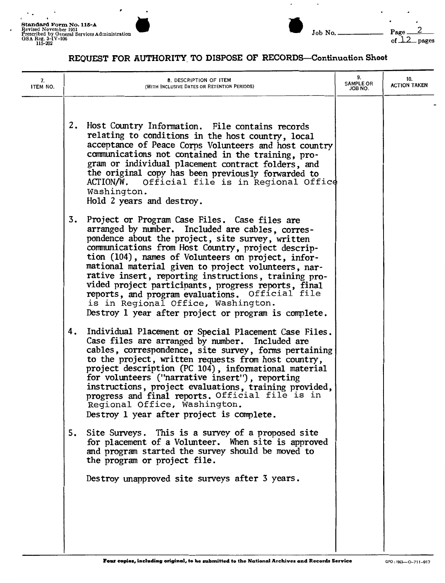

## $\frac{2}{\text{pages}}$

| 7.<br>ITEM NO. | 8. DESCRIPTION OF ITEM<br>(WITH INCLUSIVE DATES OR RETENTION PERIODS)                                                                                                                                                                                                                                                                                                                                                                                                                                                                                                                          | 9.<br><b>SAMPLE OR</b><br>JOB NO. | 10.<br><b>ACTION TAKEN</b> |
|----------------|------------------------------------------------------------------------------------------------------------------------------------------------------------------------------------------------------------------------------------------------------------------------------------------------------------------------------------------------------------------------------------------------------------------------------------------------------------------------------------------------------------------------------------------------------------------------------------------------|-----------------------------------|----------------------------|
|                | 2.<br>Host Country Information. File contains records<br>relating to conditions in the host country, local<br>acceptance of Peace Corps Volunteers and host country<br>communications not contained in the training, pro-<br>gram or individual placement contract folders, and<br>the original copy has been previously forwarded to<br>ACTION/W.<br>Official file is in Regional Office<br>Washington.<br>Hold 2 years and destroy.                                                                                                                                                          |                                   |                            |
|                | 3.<br>Project or Program Case Files. Case files are<br>arranged by number. Included are cables, corres-<br>pondence about the project, site survey, written<br>communications from Host Country, project descrip-<br>tion (104), names of Volunteers on project, infor-<br>mational material given to project volunteers, nar-<br>rative insert, reporting instructions, training pro-<br>vided project participants, progress reports, final<br>reports, and program evaluations. Official file<br>is in Regional Office, Washington.<br>Destroy 1 year after project or program is complete. |                                   |                            |
|                | 4.<br>Individual Placement or Special Placement Case Files.<br>Case files are arranged by number. Included are<br>cables, correspondence, site survey, forms pertaining<br>to the project, written requests from host country,<br>project description (PC 104), informational material<br>for volunteers ("narrative insert"), reporting<br>instructions, project evaluations, training provided,<br>progress and final reports. Official file is in<br>Regional Office, Washington.<br>Destroy 1 year after project is complete.                                                              |                                   |                            |
|                | Site Surveys. This is a survey of a proposed site<br>5.<br>for placement of a Volunteer. When site is approved<br>and program started the survey should be moved to<br>the program or project file.                                                                                                                                                                                                                                                                                                                                                                                            |                                   |                            |
|                | Destroy unapproved site surveys after 3 years.                                                                                                                                                                                                                                                                                                                                                                                                                                                                                                                                                 |                                   |                            |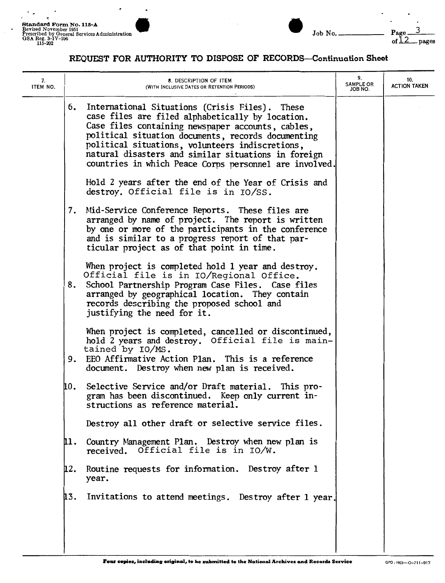$\cdot$ 

 $\frac{3}{2}$ 

| 7.<br>ITEM NO. | 8. DESCRIPTION OF ITEM<br>(WITH INCLUSIVE DATES OR RETENTION PERIODS)                                                                                                                                                                                                                                                      |                                                        | 9.<br><b>SAMPLE OR</b><br>JOB NO. | 10.<br><b>ACTION TAKEN</b> |
|----------------|----------------------------------------------------------------------------------------------------------------------------------------------------------------------------------------------------------------------------------------------------------------------------------------------------------------------------|--------------------------------------------------------|-----------------------------------|----------------------------|
|                | 6. International Situations (Crisis Files). These<br>case files are filed alphabetically by location.<br>Case files containing newspaper accounts, cables,<br>political situation documents, records documenting<br>political situations, volunteers indiscretions,<br>natural disasters and similar situations in foreign | countries in which Peace Corps personnel are involved. |                                   |                            |
|                | Hold 2 years after the end of the Year of Crisis and<br>destroy. Official file is in IO/SS.                                                                                                                                                                                                                                |                                                        |                                   |                            |
|                | 7. Mid-Service Conference Reports. These files are<br>arranged by name of project. The report is written<br>by one or more of the participants in the conference<br>and is similar to a progress report of that par-<br>ticular project as of that point in time.                                                          |                                                        |                                   |                            |
|                | When project is completed hold 1 year and destroy.<br>Official file is in IO/Regional Office.<br>School Partnership Program Case Files. Case files<br>8.<br>arranged by geographical location. They contain<br>records describing the proposed school and<br>justifying the need for it.                                   |                                                        |                                   |                            |
|                | When project is completed, cancelled or discontinued,<br>hold 2 years and destroy. Official file is main-<br>tained by IO/MS.<br>EEO Affirmative Action Plan. This is a reference<br>9.<br>document. Destroy when new plan is received.                                                                                    |                                                        |                                   |                            |
|                | Selective Service and/or Draft material. This pro-<br>10.<br>gram has been discontinued. Keep only current in-<br>structions as reference material.                                                                                                                                                                        |                                                        |                                   |                            |
|                | Destroy all other draft or selective service files.                                                                                                                                                                                                                                                                        |                                                        |                                   |                            |
|                | Country Management Plan. Destroy when new plan is<br>11.<br>received. Official file is in IO/W.                                                                                                                                                                                                                            |                                                        |                                   |                            |
|                | Routine requests for information. Destroy after 1<br>ū2.<br>year.                                                                                                                                                                                                                                                          |                                                        |                                   |                            |
|                | 13.                                                                                                                                                                                                                                                                                                                        | Invitations to attend meetings. Destroy after 1 year.  |                                   |                            |
|                |                                                                                                                                                                                                                                                                                                                            |                                                        |                                   |                            |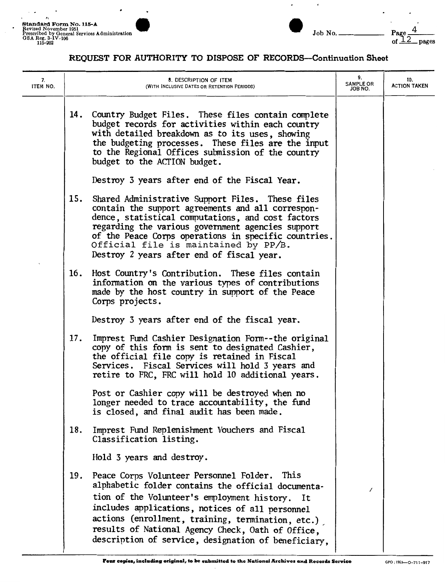

| 7.<br>ITEM NO. |     | 8. DESCRIPTION OF ITEM<br>(WITH INCLUSIVE DATES OR RETENTION PERIODS)                                                                                                                                                                                                                                                                                                    | 9.<br><b>SAMPLE OR</b><br>JOB NO. | 10.<br><b>ACTION TAKEN</b> |
|----------------|-----|--------------------------------------------------------------------------------------------------------------------------------------------------------------------------------------------------------------------------------------------------------------------------------------------------------------------------------------------------------------------------|-----------------------------------|----------------------------|
|                | 14. | Country Budget Files. These files contain complete<br>budget records for activities within each country<br>with detailed breakdown as to its uses, showing<br>the budgeting processes. These files are the input<br>to the Regional Offices submission of the country<br>budget to the ACTION budget.                                                                    |                                   |                            |
|                |     | Destroy 3 years after end of the Fiscal Year.                                                                                                                                                                                                                                                                                                                            |                                   |                            |
|                | 15. | Shared Administrative Support Files. These files<br>contain the support agreements and all correspon-<br>dence, statistical computations, and cost factors<br>regarding the various government agencies support<br>of the Peace Corps operations in specific countries.<br>Official file is maintained by PP/B.<br>Destroy 2 years after end of fiscal year.             |                                   |                            |
|                |     | 16. Host Country's Contribution. These files contain<br>information on the various types of contributions<br>made by the host country in support of the Peace<br>Corps projects.                                                                                                                                                                                         |                                   |                            |
|                |     | Destroy 3 years after end of the fiscal year.                                                                                                                                                                                                                                                                                                                            |                                   |                            |
|                | 17. | Imprest Fund Cashier Designation Form--the original<br>copy of this form is sent to designated Cashier,<br>the official file copy is retained in Fiscal<br>Services. Fiscal Services will hold 3 years and<br>retire to FRC, FRC will hold 10 additional years.                                                                                                          |                                   |                            |
|                |     | Post or Cashier copy will be destroyed when no<br>longer needed to trace accountability, the fund<br>is closed, and final audit has been made.                                                                                                                                                                                                                           |                                   |                            |
|                | 18. | Imprest Fund Replenishment Vouchers and Fiscal<br>Classification listing.                                                                                                                                                                                                                                                                                                |                                   |                            |
|                |     | Hold 3 years and destroy.                                                                                                                                                                                                                                                                                                                                                |                                   |                            |
|                | 19. | Peace Corps Volunteer Personnel Folder. This<br>alphabetic folder contains the official documenta-<br>tion of the Volunteer's employment history. It<br>includes applications, notices of all personnel<br>actions (enrollment, training, termination, etc.)<br>results of National Agency Check, Oath of Office.<br>description of service, designation of beneficiary, | ∕                                 |                            |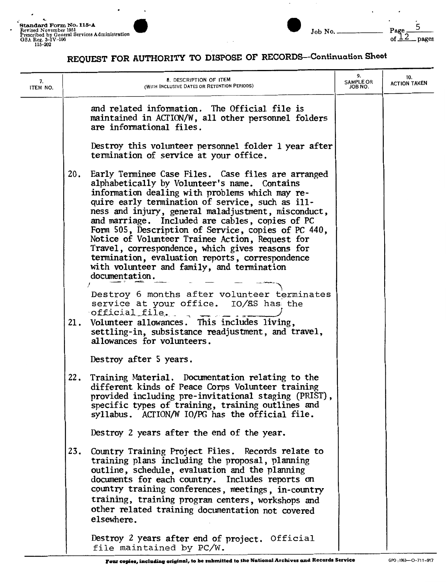

| 7.<br>ITEM NO. | 8. DESCRIPTION OF ITEM<br>(WITH INCLUSIVE DATES OR RETENTION PERIODS)                                                                                                                                                                                                                                                                                                                                                                                                                                                                                                                                      | 9.<br><b>SAMPLE OR</b><br>JOB NO. | 10.<br><b>ACTION TAKEN</b> |
|----------------|------------------------------------------------------------------------------------------------------------------------------------------------------------------------------------------------------------------------------------------------------------------------------------------------------------------------------------------------------------------------------------------------------------------------------------------------------------------------------------------------------------------------------------------------------------------------------------------------------------|-----------------------------------|----------------------------|
|                | and related information. The Official file is<br>maintained in ACTION/W, all other personnel folders<br>are informational files.                                                                                                                                                                                                                                                                                                                                                                                                                                                                           |                                   |                            |
|                | Destroy this volunteer personnel folder 1 year after<br>termination of service at your office.                                                                                                                                                                                                                                                                                                                                                                                                                                                                                                             |                                   |                            |
|                | Early Terminee Case Files. Case files are arranged<br>20.<br>alphabetically by Volunteer's name. Contains<br>information dealing with problems which may re-<br>quire early termination of service, such as ill-<br>ness and injury, general maladjustment, misconduct,<br>and marriage. Included are cables, copies of PC<br>Form 505, Description of Service, copies of PC 440,<br>Notice of Volunteer Trainee Action, Request for<br>Travel, correspondence, which gives reasons for<br>termination, evaluation reports, correspondence<br>with volunteer and family, and termination<br>documentation. |                                   |                            |
|                | Destroy 6 months after volunteer terminates<br>service at your office. IO/ES has the<br>official_file.                                                                                                                                                                                                                                                                                                                                                                                                                                                                                                     |                                   |                            |
|                | Volunteer allowances. This includes living,<br>21.<br>settling-in, subsistance readjustment, and travel,<br>allowances for volunteers.                                                                                                                                                                                                                                                                                                                                                                                                                                                                     |                                   |                            |
|                | Destroy after 5 years.                                                                                                                                                                                                                                                                                                                                                                                                                                                                                                                                                                                     |                                   |                            |
|                | Training Material. Documentation relating to the<br>22.<br>different kinds of Peace Corps Volunteer training<br>provided including pre-invitational staging (PRIST),<br>specific types of training, training outlines and<br>syllabus. ACTION/W IO/PG has the official file                                                                                                                                                                                                                                                                                                                                |                                   |                            |
|                | Destroy 2 years after the end of the year.                                                                                                                                                                                                                                                                                                                                                                                                                                                                                                                                                                 |                                   |                            |
|                | Country Training Project Files. Records relate to<br>23.<br>training plans including the proposal, planning<br>outline, schedule, evaluation and the planning<br>documents for each country. Includes reports on<br>country training conferences, meetings, in-country<br>training, training program centers, workshops and<br>other related training documentation not covered<br>elsewhere.                                                                                                                                                                                                              |                                   |                            |
|                | Destroy 2 years after end of project. Official<br>file maintained by PC/W.                                                                                                                                                                                                                                                                                                                                                                                                                                                                                                                                 |                                   |                            |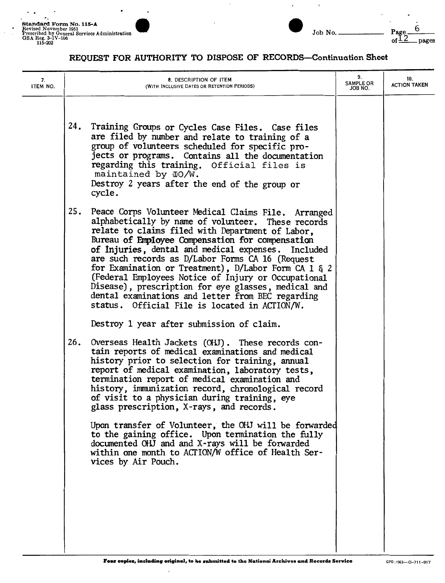

6<br>\_pages

| 7.<br>ITEM NO. | 8. DESCRIPTION OF ITEM<br>(WITH INCLUSIVE DATES OR RETENTION PERIODS)                                                                                                                                                                                                                                                                                                                                                                                                                                                                                                                                                                                                                                             | 9.<br><b>SAMPLE OR</b><br>JOB NO. | 10.<br><b>ACTION TAKEN</b> |
|----------------|-------------------------------------------------------------------------------------------------------------------------------------------------------------------------------------------------------------------------------------------------------------------------------------------------------------------------------------------------------------------------------------------------------------------------------------------------------------------------------------------------------------------------------------------------------------------------------------------------------------------------------------------------------------------------------------------------------------------|-----------------------------------|----------------------------|
|                | 24.<br>Training Groups or Cycles Case Files. Case files<br>are filed by number and relate to training of a<br>group of volunteers scheduled for specific pro-<br>jects or programs. Contains all the documentation<br>regarding this training. Official files is<br>maintained by $IO/W$ .<br>Destroy 2 years after the end of the group or<br>cycle.                                                                                                                                                                                                                                                                                                                                                             |                                   |                            |
|                | 25.<br>Peace Corps Volunteer Medical Claims File. Arranged<br>alphabetically by name of volunteer. These records<br>relate to claims filed with Department of Labor.<br>Bureau of Employee Compensation for compensation<br>of Injuries, dental and medical expenses. Included<br>are such records as D/Labor Forms CA 16 (Request<br>for Examination or Treatment), $D/Labor$ Form CA 1 $\xi$ 2<br>(Federal Employees Notice of Injury or Occupational<br>Disease), prescription for eye glasses, medical and<br>dental examinations and letter from BEC regarding<br>status. Official File is located in ACTION/W.                                                                                              |                                   |                            |
|                | Destroy 1 year after submission of claim.<br>Overseas Health Jackets (OHJ). These records con-<br>26.<br>tain reports of medical examinations and medical<br>history prior to selection for training, annual<br>report of medical examination, laboratory tests,<br>termination report of medical examination and<br>history, immunization record, chronological record<br>of visit to a physician during training, eye<br>glass prescription, X-rays, and records.<br>Upon transfer of Volunteer, the OHJ will be forwarded<br>to the gaining office. Upon termination the fully<br>documented OHJ and and X-rays will be forwarded<br>within one month to ACTION/W office of Health Ser-<br>vices by Air Pouch. |                                   |                            |
|                |                                                                                                                                                                                                                                                                                                                                                                                                                                                                                                                                                                                                                                                                                                                   |                                   |                            |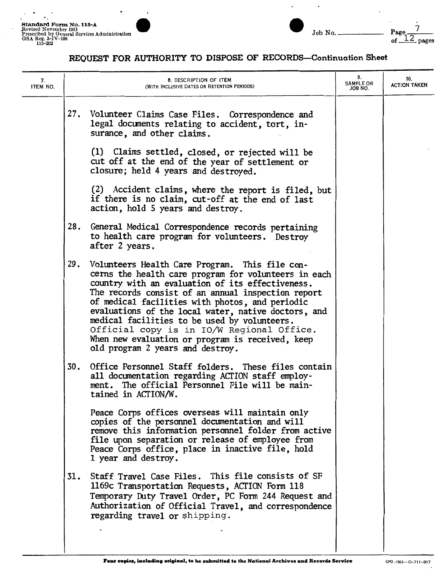$\overline{\phantom{a}}$ 

 $\ddot{\phantom{0}}$  $\bullet$  .

 $\overline{a}$ 

 $\ddot{\phantom{1}}$ 



 $\lambda$ 

 $\overline{\phantom{a}}$ 

| 7.<br>ITEM NO. | 8. DESCRIPTION OF ITEM<br>(WITH INCLUSIVE DATES OR RETENTION PERIODS)                                                                                                                                                                                                                                                                                                                                                                                                                                                  | 9.<br><b>SAMPLE OR</b><br>JOB NO. | 10.<br><b>ACTION TAKEN</b> |
|----------------|------------------------------------------------------------------------------------------------------------------------------------------------------------------------------------------------------------------------------------------------------------------------------------------------------------------------------------------------------------------------------------------------------------------------------------------------------------------------------------------------------------------------|-----------------------------------|----------------------------|
|                | 27. Volunteer Claims Case Files. Correspondence and<br>legal documents relating to accident, tort, in-<br>surance, and other claims.                                                                                                                                                                                                                                                                                                                                                                                   |                                   |                            |
|                | (1) Claims settled, closed, or rejected will be<br>cut off at the end of the year of settlement or<br>closure; held 4 years and destroyed.                                                                                                                                                                                                                                                                                                                                                                             |                                   |                            |
|                | (2) Accident claims, where the report is filed, but<br>if there is no claim, cut-off at the end of last<br>action, hold 5 years and destroy.                                                                                                                                                                                                                                                                                                                                                                           |                                   |                            |
|                | 28.<br>General Medical Correspondence records pertaining<br>to health care program for volunteers. Destroy<br>after 2 years.                                                                                                                                                                                                                                                                                                                                                                                           |                                   |                            |
|                | 29.<br>Volunteers Health Care Program. This file con-<br>cerns the health care program for volunteers in each<br>country with an evaluation of its effectiveness.<br>The records consist of an annual inspection report<br>of medical facilities with photos, and periodic<br>evaluations of the local water, native doctors, and<br>medical facilities to be used by volunteers.<br>Official copy is in IO/W Regional Office.<br>When new evaluation or program is received, keep<br>old program 2 years and destroy. |                                   |                            |
|                | 30.<br>Office Personnel Staff folders. These files contain<br>all documentation regarding ACTION staff employ-<br>ment. The official Personnel File will be main-<br>tained in ACTION/W.                                                                                                                                                                                                                                                                                                                               |                                   |                            |
|                | Peace Corps offices overseas will maintain only<br>copies of the personnel documentation and will<br>remove this information personnel folder from active<br>file upon separation or release of employee from<br>Peace Corps office, place in inactive file, hold<br>1 year and destroy.                                                                                                                                                                                                                               |                                   |                            |
|                | Staff Travel Case Files. This file consists of SF<br>31.<br>1169c Transportation Requests, ACTION Form 118<br>Temporary Duty Travel Order, PC Form 244 Request and<br>Authorization of Official Travel, and correspondence<br>regarding travel or shipping.                                                                                                                                                                                                                                                            |                                   |                            |
|                |                                                                                                                                                                                                                                                                                                                                                                                                                                                                                                                        |                                   |                            |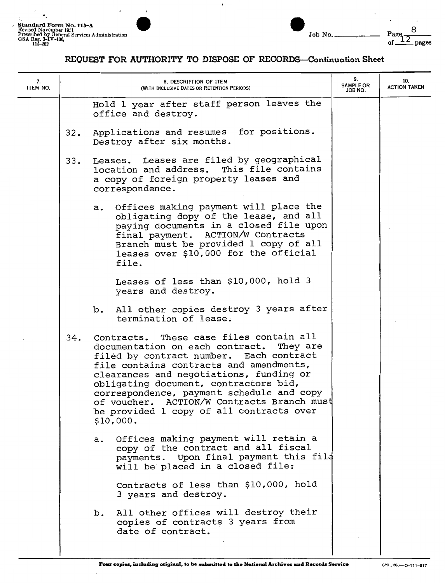

| 7.<br>ITEM NO. |     | 8. DESCRIPTION OF ITEM<br>(WITH INCLUSIVE DATES OR RETENTION PERIODS)                                                                                                                                                                                                                                                                                                                                             | 9.<br><b>SAMPLE OR</b><br>JOB NO. | 10.<br><b>ACTION TAKEN</b> |
|----------------|-----|-------------------------------------------------------------------------------------------------------------------------------------------------------------------------------------------------------------------------------------------------------------------------------------------------------------------------------------------------------------------------------------------------------------------|-----------------------------------|----------------------------|
|                |     | Hold 1 year after staff person leaves the<br>office and destroy.                                                                                                                                                                                                                                                                                                                                                  |                                   |                            |
|                | 32. | Applications and resumes for positions.<br>Destroy after six months.                                                                                                                                                                                                                                                                                                                                              |                                   |                            |
|                | 33. | Leases. Leases are filed by geographical<br>This file contains<br>location and address.<br>a copy of foreign property leases and<br>correspondence.                                                                                                                                                                                                                                                               |                                   |                            |
|                |     | Offices making payment will place the<br>а.<br>obligating dopy of the lease, and all<br>paying documents in a closed file upon<br>final payment. ACTION/W Contracts<br>Branch must be provided 1 copy of all<br>leases over \$10,000 for the official<br>file.                                                                                                                                                    |                                   |                            |
|                |     | Leases of less than \$10,000, hold 3<br>years and destroy.                                                                                                                                                                                                                                                                                                                                                        |                                   |                            |
|                |     | All other copies destroy 3 years after<br>b.<br>termination of lease.                                                                                                                                                                                                                                                                                                                                             |                                   |                            |
|                | 34. | Contracts. These case files contain all<br>documentation on each contract. They are<br>filed by contract number. Each contract<br>file contains contracts and amendments,<br>clearances and negotiations, funding or<br>obligating document, contractors bid,<br>correspondence, payment schedule and copy<br>of voucher. ACTION/W Contracts Branch must<br>be provided 1 copy of all contracts over<br>\$10,000. |                                   |                            |
|                |     | Offices making payment will retain a<br>а.<br>copy of the contract and all fiscal<br>payments. Upon final payment this file<br>will be placed in a closed file:                                                                                                                                                                                                                                                   |                                   |                            |
|                |     | Contracts of less than \$10,000, hold<br>3 years and destroy.                                                                                                                                                                                                                                                                                                                                                     |                                   |                            |
|                |     | All other offices will destroy their<br>b.<br>copies of contracts 3 years from<br>date of contract.                                                                                                                                                                                                                                                                                                               |                                   |                            |
|                |     |                                                                                                                                                                                                                                                                                                                                                                                                                   |                                   |                            |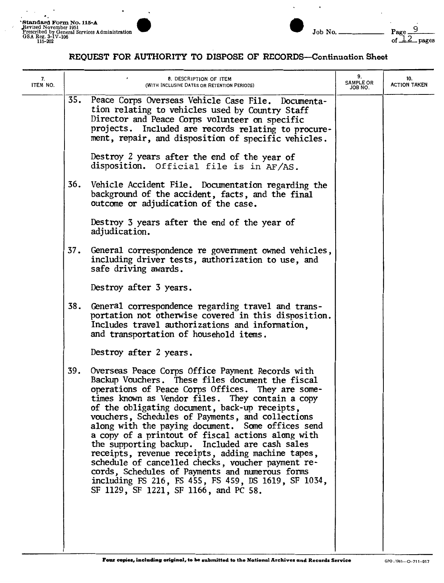$\ddot{\phantom{0}}$ 

 $\ddot{\phantom{0}}$ 



 $\ddot{\phantom{0}}$ 

 $\ddot{\phantom{a}}$ 

| 7.<br>ITEM NO. | 8. DESCRIPTION OF ITEM<br>(WITH INCLUSIVE DATES OR RETENTION PERIODS)                                                                                                                                                                                                                                                                                                                                                                                                                                                                                                                                                                                                                                                                              | 9.<br><b>SAMPLE OR</b><br>JOB NO. | 10.<br><b>ACTION TAKEN</b> |
|----------------|----------------------------------------------------------------------------------------------------------------------------------------------------------------------------------------------------------------------------------------------------------------------------------------------------------------------------------------------------------------------------------------------------------------------------------------------------------------------------------------------------------------------------------------------------------------------------------------------------------------------------------------------------------------------------------------------------------------------------------------------------|-----------------------------------|----------------------------|
|                | 35.<br>Peace Corps Overseas Vehicle Case File. Documenta-<br>tion relating to vehicles used by Country Staff<br>Director and Peace Corps volunteer on specific<br>projects. Included are records relating to procure-<br>ment, repair, and disposition of specific vehicles.                                                                                                                                                                                                                                                                                                                                                                                                                                                                       |                                   |                            |
|                | Destroy 2 years after the end of the year of<br>disposition. Official file is in AF/AS.                                                                                                                                                                                                                                                                                                                                                                                                                                                                                                                                                                                                                                                            |                                   |                            |
|                | 36.<br>Vehicle Accident File. Documentation regarding the<br>background of the accident, facts, and the final<br>outcome or adjudication of the case.                                                                                                                                                                                                                                                                                                                                                                                                                                                                                                                                                                                              |                                   |                            |
|                | Destroy 3 years after the end of the year of<br>adjudication.                                                                                                                                                                                                                                                                                                                                                                                                                                                                                                                                                                                                                                                                                      |                                   |                            |
|                | 37.<br>General correspondence re government owned vehicles,<br>including driver tests, authorization to use, and<br>safe driving awards.                                                                                                                                                                                                                                                                                                                                                                                                                                                                                                                                                                                                           |                                   |                            |
|                | Destroy after 3 years.                                                                                                                                                                                                                                                                                                                                                                                                                                                                                                                                                                                                                                                                                                                             |                                   |                            |
|                | 38.<br>General correspondence regarding travel and trans-<br>portation not otherwise covered in this disposition.<br>Includes travel authorizations and information,<br>and transportation of household items.                                                                                                                                                                                                                                                                                                                                                                                                                                                                                                                                     |                                   |                            |
|                | Destroy after 2 years.                                                                                                                                                                                                                                                                                                                                                                                                                                                                                                                                                                                                                                                                                                                             |                                   |                            |
|                | 39.<br>Overseas Peace Corps Office Payment Records with<br>Backup Vouchers. These files document the fiscal<br>operations of Peace Corps Offices. They are some-<br>times known as Vendor files. They contain a copy<br>of the obligating document, back-up receipts,<br>vouchers, Schedules of Payments, and collections<br>along with the paying document. Some offices send<br>a copy of a printout of fiscal actions along with<br>the supporting backup. Included are cash sales<br>receipts, revenue receipts, adding machine tapes,<br>schedule of cancelled checks, voucher payment re-<br>cords, Schedules of Payments and numerous forms<br>including FS 216, FS 455, FS 459, DS 1619, SF 1034,<br>SF 1129, SF 1221, SF 1166, and PC 58. |                                   |                            |
|                |                                                                                                                                                                                                                                                                                                                                                                                                                                                                                                                                                                                                                                                                                                                                                    |                                   |                            |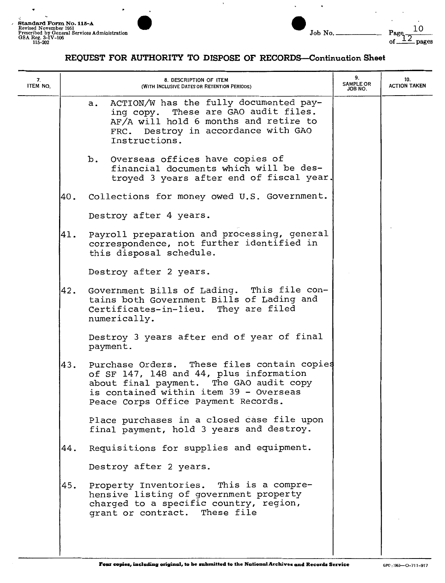

| 7.<br>ITEM NO. |     | 8. DESCRIPTION OF ITEM<br>(WITH INCLUSIVE DATES OR RETENTION PERIODS)                                                                                                                                              | 9.<br><b>SAMPLE OR</b><br>JOB NO. | 10.<br><b>ACTION TAKEN</b> |
|----------------|-----|--------------------------------------------------------------------------------------------------------------------------------------------------------------------------------------------------------------------|-----------------------------------|----------------------------|
|                |     | ACTION/W has the fully documented pay-<br>a.<br>ing copy. These are GAO audit files.<br>AF/A will hold 6 months and retire to<br>FRC. Destroy in accordance with GAO<br>Instructions.                              |                                   |                            |
|                |     | Overseas offices have copies of<br>b.<br>financial documents which will be des-<br>troyed 3 years after end of fiscal year.                                                                                        |                                   |                            |
|                | 40. | Collections for money owed U.S. Government.                                                                                                                                                                        |                                   |                            |
|                |     | Destroy after 4 years.                                                                                                                                                                                             |                                   |                            |
|                | 41. | Payroll preparation and processing, general<br>correspondence, not further identified in<br>this disposal schedule.                                                                                                |                                   |                            |
|                |     | Destroy after 2 years.                                                                                                                                                                                             |                                   |                            |
|                | 42. | Government Bills of Lading. This file con-<br>tains both Government Bills of Lading and<br>Certificates-in-lieu. They are filed<br>numerically.                                                                    |                                   |                            |
|                |     | Destroy 3 years after end of year of final<br>payment.                                                                                                                                                             |                                   |                            |
|                | 43. | Purchase Orders. These files contain copies<br>of SF 147, 148 and 44, plus information<br>about final payment. The GAO audit copy<br>is contained within item 39 - Overseas<br>Peace Corps Office Payment Records. |                                   |                            |
|                |     | Place purchases in a closed case file upon<br>final payment, hold 3 years and destroy.                                                                                                                             |                                   |                            |
|                | 44. | Requisitions for supplies and equipment.                                                                                                                                                                           |                                   |                            |
|                |     | Destroy after 2 years.                                                                                                                                                                                             |                                   |                            |
|                | 45. | Property Inventories. This is a compre-<br>hensive listing of government property<br>charged to a specific country, region,<br>grant or contract. These file                                                       |                                   |                            |
|                |     |                                                                                                                                                                                                                    |                                   |                            |

I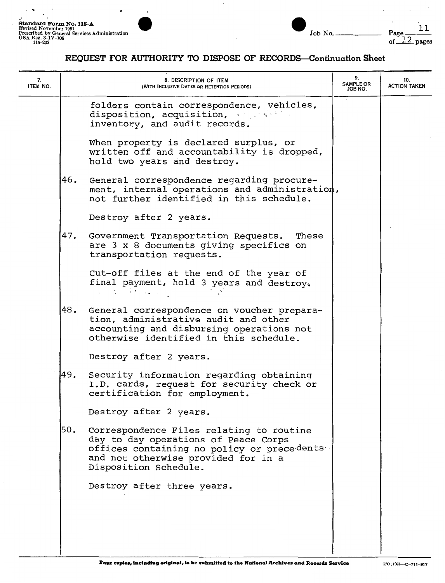



| 7.<br>ITEM NO. | 8. DESCRIPTION OF ITEM<br>(WITH INCLUSIVE DATES OR RETENTION PERIODS)                                                                                                                                 | 9.<br><b>SAMPLE OR</b><br>JOB NO. | 10.<br><b>ACTION TAKEN</b> |
|----------------|-------------------------------------------------------------------------------------------------------------------------------------------------------------------------------------------------------|-----------------------------------|----------------------------|
|                | folders contain correspondence, vehicles,<br>disposition, acquisition,<br>inventory, and audit records.                                                                                               |                                   |                            |
|                | When property is declared surplus, or<br>written off and accountability is dropped,<br>hold two years and destroy.                                                                                    |                                   |                            |
|                | 46.<br>General correspondence regarding procure-<br>ment, internal operations and administration,<br>not further identified in this schedule.                                                         |                                   |                            |
|                | Destroy after 2 years.                                                                                                                                                                                |                                   |                            |
|                | 47.<br>Government Transportation Requests.<br>These<br>are 3 x 8 documents giving specifics on<br>transportation requests.                                                                            |                                   |                            |
|                | Cut-off files at the end of the year of<br>final payment, hold 3 years and destroy.<br>and the Green and                                                                                              |                                   |                            |
|                | 48.<br>General correspondence on voucher prepara-<br>tion, administrative audit and other<br>accounting and disbursing operations not<br>otherwise identified in this schedule.                       |                                   |                            |
|                | Destroy after 2 years.                                                                                                                                                                                |                                   |                            |
|                | 49.<br>Security information regarding obtaining<br>I.D. cards, request for security check or<br>certification for employment.                                                                         |                                   |                            |
|                | Destroy after 2 years.                                                                                                                                                                                |                                   |                            |
|                | 50.<br>Correspondence Files relating to routine<br>day to day operations of Peace Corps<br>offices containing no policy or precedents<br>and not otherwise provided for in a<br>Disposition Schedule. |                                   |                            |
|                | Destroy after three years.                                                                                                                                                                            |                                   |                            |
|                |                                                                                                                                                                                                       |                                   |                            |
|                |                                                                                                                                                                                                       |                                   |                            |
|                |                                                                                                                                                                                                       |                                   |                            |